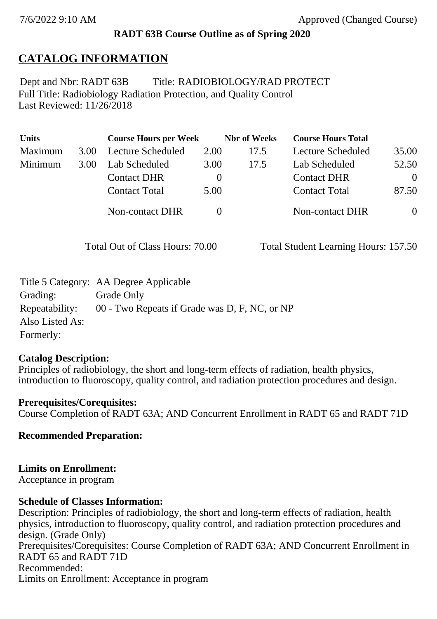### **RADT 63B Course Outline as of Spring 2020**

### **CATALOG INFORMATION**

Full Title: Radiobiology Radiation Protection, and Quality Control Last Reviewed: 11/26/2018 Dept and Nbr: RADT 63B Title: RADIOBIOLOGY/RAD PROTECT

| <b>Units</b> |      | <b>Course Hours per Week</b> |          | <b>Nbr</b> of Weeks | <b>Course Hours Total</b> |          |
|--------------|------|------------------------------|----------|---------------------|---------------------------|----------|
| Maximum      | 3.00 | <b>Lecture Scheduled</b>     | 2.00     | 17.5                | Lecture Scheduled         | 35.00    |
| Minimum      | 3.00 | Lab Scheduled                | 3.00     | 17.5                | Lab Scheduled             | 52.50    |
|              |      | <b>Contact DHR</b>           | $\theta$ |                     | <b>Contact DHR</b>        | $\Omega$ |
|              |      | <b>Contact Total</b>         | 5.00     |                     | <b>Contact Total</b>      | 87.50    |
|              |      | Non-contact DHR              |          |                     | <b>Non-contact DHR</b>    | $\theta$ |

Total Out of Class Hours: 70.00 Total Student Learning Hours: 157.50

|                 | Title 5 Category: AA Degree Applicable        |
|-----------------|-----------------------------------------------|
| Grading:        | Grade Only                                    |
| Repeatability:  | 00 - Two Repeats if Grade was D, F, NC, or NP |
| Also Listed As: |                                               |
| Formerly:       |                                               |

#### **Catalog Description:**

Principles of radiobiology, the short and long-term effects of radiation, health physics, introduction to fluoroscopy, quality control, and radiation protection procedures and design.

**Prerequisites/Corequisites:** Course Completion of RADT 63A; AND Concurrent Enrollment in RADT 65 and RADT 71D

**Recommended Preparation:**

### **Limits on Enrollment:**

Acceptance in program

### **Schedule of Classes Information:**

Description: Principles of radiobiology, the short and long-term effects of radiation, health physics, introduction to fluoroscopy, quality control, and radiation protection procedures and design. (Grade Only) Prerequisites/Corequisites: Course Completion of RADT 63A; AND Concurrent Enrollment in RADT 65 and RADT 71D Recommended: Limits on Enrollment: Acceptance in program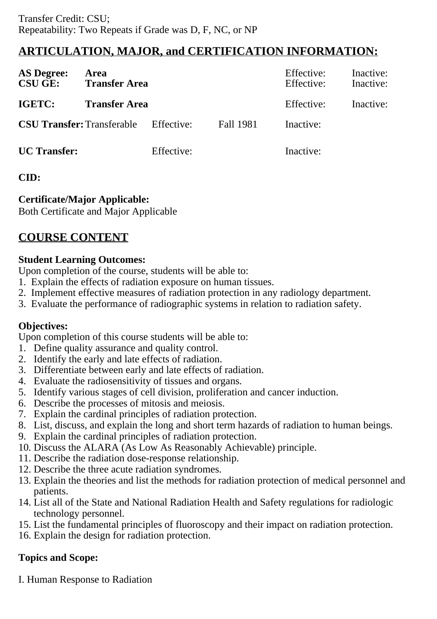## **ARTICULATION, MAJOR, and CERTIFICATION INFORMATION:**

| <b>AS Degree:</b><br><b>CSU GE:</b> | Area<br><b>Transfer Area</b> |            |                  | Effective:<br>Effective: | Inactive:<br>Inactive: |
|-------------------------------------|------------------------------|------------|------------------|--------------------------|------------------------|
| IGETC:                              | <b>Transfer Area</b>         |            |                  | Effective:               | Inactive:              |
| <b>CSU Transfer: Transferable</b>   |                              | Effective: | <b>Fall 1981</b> | Inactive:                |                        |
| <b>UC</b> Transfer:                 |                              | Effective: |                  | Inactive:                |                        |

### **CID:**

### **Certificate/Major Applicable:**

[Both Certificate and Major Applicable](SR_ClassCheck.aspx?CourseKey=RADT63B)

# **COURSE CONTENT**

### **Student Learning Outcomes:**

Upon completion of the course, students will be able to:

- 1. Explain the effects of radiation exposure on human tissues.
- 2. Implement effective measures of radiation protection in any radiology department.
- 3. Evaluate the performance of radiographic systems in relation to radiation safety.

### **Objectives:**

Upon completion of this course students will be able to:

- 1. Define quality assurance and quality control.
- 2. Identify the early and late effects of radiation.
- 3. Differentiate between early and late effects of radiation.
- 4. Evaluate the radiosensitivity of tissues and organs.
- 5. Identify various stages of cell division, proliferation and cancer induction.
- 6. Describe the processes of mitosis and meiosis.
- 7. Explain the cardinal principles of radiation protection.
- 8. List, discuss, and explain the long and short term hazards of radiation to human beings.
- 9. Explain the cardinal principles of radiation protection.
- 10. Discuss the ALARA (As Low As Reasonably Achievable) principle.
- 11. Describe the radiation dose-response relationship.
- 12. Describe the three acute radiation syndromes.
- 13. Explain the theories and list the methods for radiation protection of medical personnel and patients.
- 14. List all of the State and National Radiation Health and Safety regulations for radiologic technology personnel.
- 15. List the fundamental principles of fluoroscopy and their impact on radiation protection.
- 16. Explain the design for radiation protection.

### **Topics and Scope:**

I. Human Response to Radiation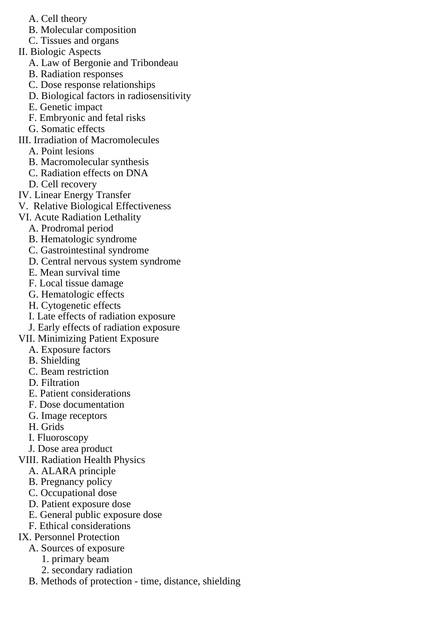- A. Cell theory
- B. Molecular composition
- C. Tissues and organs
- II. Biologic Aspects
	- A. Law of Bergonie and Tribondeau
	- B. Radiation responses
	- C. Dose response relationships
	- D. Biological factors in radiosensitivity
	- E. Genetic impact
	- F. Embryonic and fetal risks
	- G. Somatic effects
- III. Irradiation of Macromolecules
	- A. Point lesions
	- B. Macromolecular synthesis
	- C. Radiation effects on DNA
	- D. Cell recovery
- IV. Linear Energy Transfer
- V. Relative Biological Effectiveness
- VI. Acute Radiation Lethality
	- A. Prodromal period
	- B. Hematologic syndrome
	- C. Gastrointestinal syndrome
	- D. Central nervous system syndrome
	- E. Mean survival time
	- F. Local tissue damage
	- G. Hematologic effects
	- H. Cytogenetic effects
	- I. Late effects of radiation exposure
	- J. Early effects of radiation exposure
- VII. Minimizing Patient Exposure
	- A. Exposure factors
	- B. Shielding
	- C. Beam restriction
	- D. Filtration
	- E. Patient considerations
	- F. Dose documentation
	- G. Image receptors
	- H. Grids
	- I. Fluoroscopy
	- J. Dose area product
- VIII. Radiation Health Physics
	- A. ALARA principle
	- B. Pregnancy policy
	- C. Occupational dose
	- D. Patient exposure dose
	- E. General public exposure dose
	- F. Ethical considerations
- IX. Personnel Protection
	- A. Sources of exposure
		- 1. primary beam
		- 2. secondary radiation
	- B. Methods of protection time, distance, shielding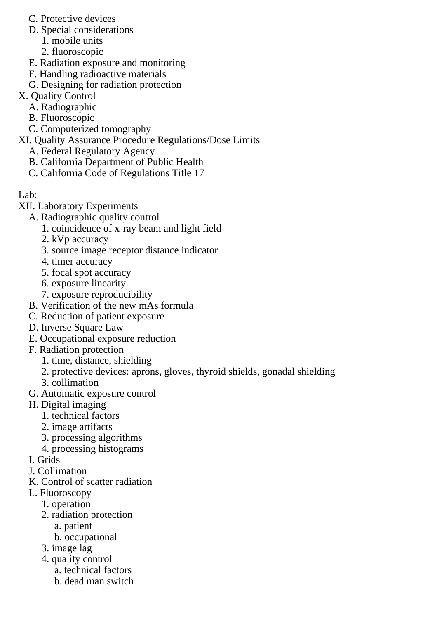- C. Protective devices
- D. Special considerations
	- 1. mobile units
	- 2. fluoroscopic
- E. Radiation exposure and monitoring
- F. Handling radioactive materials
- G. Designing for radiation protection
- X. Quality Control
	- A. Radiographic
	- B. Fluoroscopic
	- C. Computerized tomography
- XI. Quality Assurance Procedure Regulations/Dose Limits
	- A. Federal Regulatory Agency
	- B. California Department of Public Health
	- C. California Code of Regulations Title 17
- Lab:
- XII. Laboratory Experiments
	- A. Radiographic quality control
		- 1. coincidence of x-ray beam and light field
		- 2. kVp accuracy
		- 3. source image receptor distance indicator
		- 4. timer accuracy
		- 5. focal spot accuracy
		- 6. exposure linearity
		- 7. exposure reproducibility
	- B. Verification of the new mAs formula
	- C. Reduction of patient exposure
	- D. Inverse Square Law
	- E. Occupational exposure reduction
	- F. Radiation protection
		- 1. time, distance, shielding
		- 2. protective devices: aprons, gloves, thyroid shields, gonadal shielding
		- 3. collimation
	- G. Automatic exposure control
	- H. Digital imaging
		- 1. technical factors
		- 2. image artifacts
		- 3. processing algorithms
		- 4. processing histograms
	- I. Grids
	- J. Collimation
	- K. Control of scatter radiation
	- L. Fluoroscopy
		- 1. operation
		- 2. radiation protection
			- a. patient
			- b. occupational
		- 3. image lag
		- 4. quality control
			- a. technical factors
			- b. dead man switch